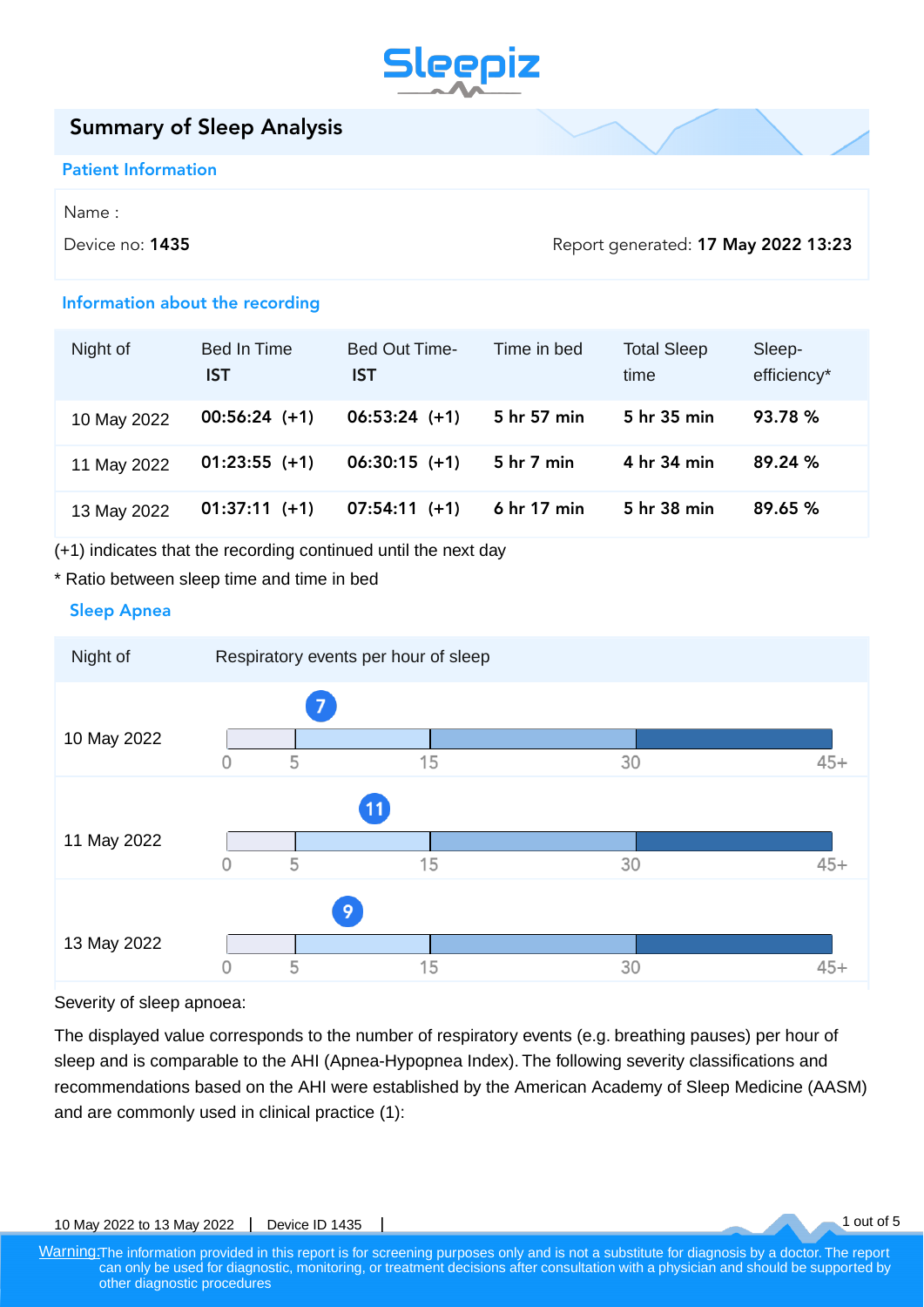

# Summary of Sleep Analysis

### Patient Information

Name :

Device no: **1435** Device no: **1435** Device no: **1435** Device no: **1435** Device no: **1435** 

1 out of 5

## Information about the recording

| Night of    | <b>Bed In Time</b><br>IST | Bed Out Time-<br>IST | Time in bed | <b>Total Sleep</b><br>time | Sleep-<br>efficiency* |
|-------------|---------------------------|----------------------|-------------|----------------------------|-----------------------|
| 10 May 2022 | $00:56:24 (+1)$           | $06:53:24 (+1)$      | 5 hr 57 min | 5 hr 35 min                | 93.78 %               |
| 11 May 2022 | $01:23:55 (+1)$           | $06:30:15 (+1)$      | 5 hr 7 min  | 4 hr 34 min                | 89.24%                |
| 13 May 2022 | $01:37:11 (+1)$           | $07:54:11 (+1)$      | 6 hr 17 min | 5 hr 38 min                | 89.65%                |

(+1) indicates that the recording continued until the next day

## \* Ratio between sleep time and time in bed

# Sleep Apnea



Severity of sleep apnoea:

The displayed value corresponds to the number of respiratory events (e.g. breathing pauses) per hour of sleep and is comparable to the AHI (Apnea-Hypopnea Index). The following severity classifications and recommendations based on the AHI were established by the American Academy of Sleep Medicine (AASM) and are commonly used in clinical practice (1):

10 May 2022 to 13 May 2022 | Device ID 1435

Warning: The information provided in this report is for screening purposes only and is not a substitute for diagnosis by a doctor. The report can only be used for diagnostic, monitoring, or treatment decisions after consultation with a physician and should be supported by other diagnostic procedures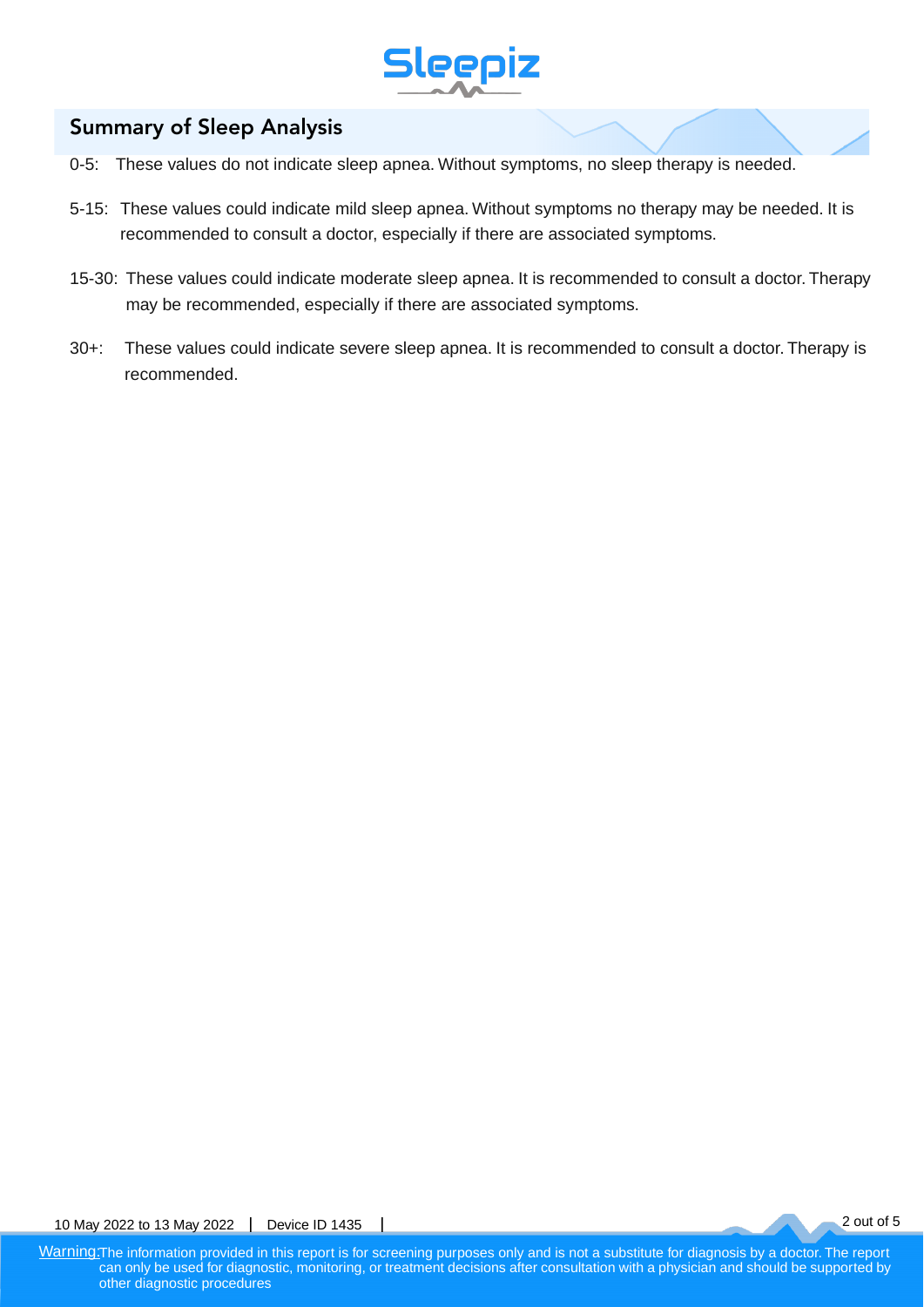

# Summary of Sleep Analysis

- 0-5: These values do not indicate sleep apnea. Without symptoms, no sleep therapy is needed.
- 5-15: These values could indicate mild sleep apnea. Without symptoms no therapy may be needed. It is recommended to consult a doctor, especially if there are associated symptoms.
- 15-30: These values could indicate moderate sleep apnea. It is recommended to consult a doctor. Therapy may be recommended, especially if there are associated symptoms.
- 30+: These values could indicate severe sleep apnea. It is recommended to consult a doctor. Therapy is recommended.

2 out of 5

10 May 2022 to 13 May 2022 | Device ID 1435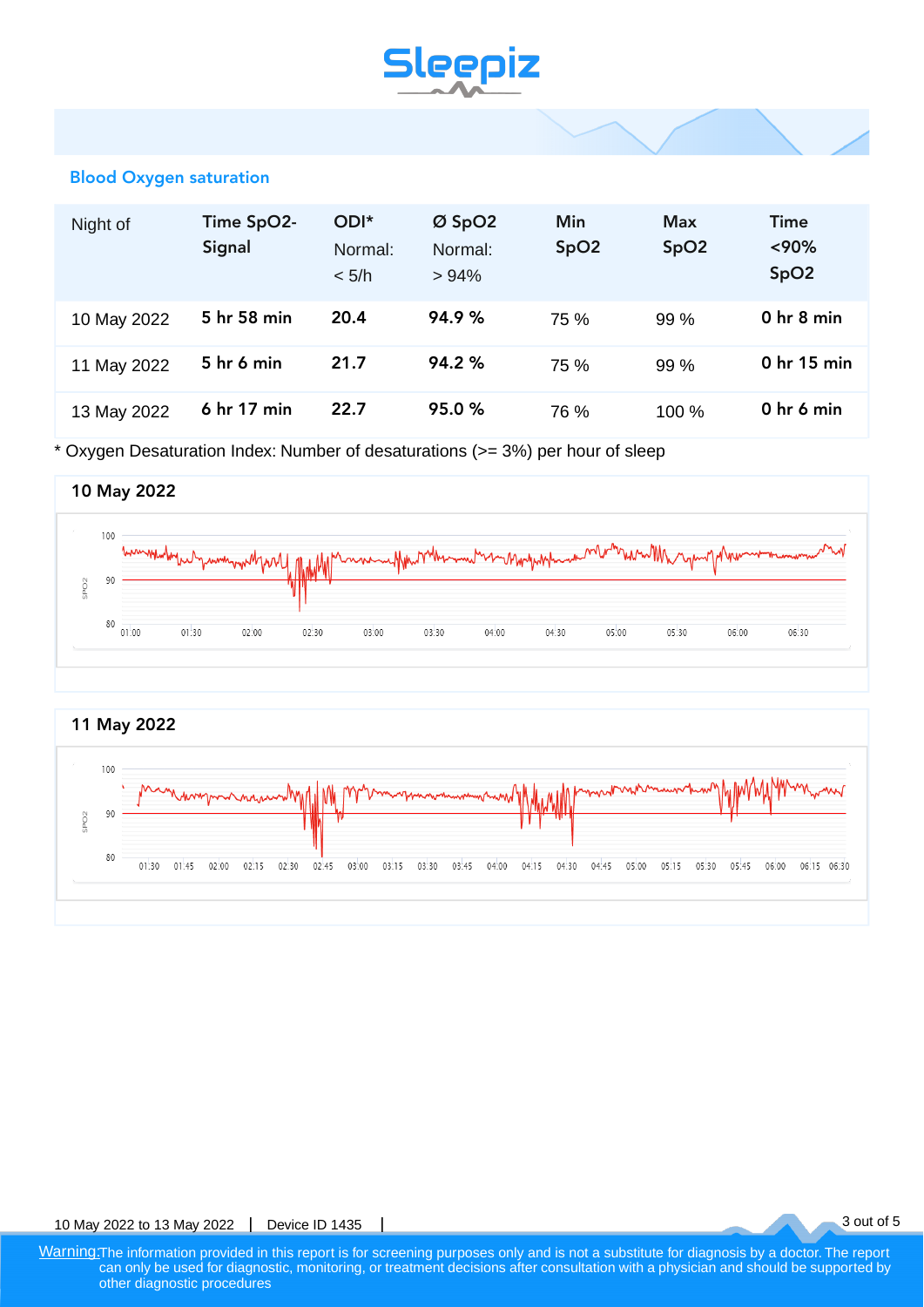# **Sleepiz**

## Blood Oxygen saturation

| Night of    | Time SpO2-<br>Signal             | ODI*<br>Normal:<br>< 5/h | $Ø$ SpO2<br>Normal:<br>>94% | Min<br>SpO <sub>2</sub> | <b>Max</b><br>SpO <sub>2</sub> | Time<br>< 90%<br>SpO <sub>2</sub> |
|-------------|----------------------------------|--------------------------|-----------------------------|-------------------------|--------------------------------|-----------------------------------|
| 10 May 2022 | 5 hr 58 min                      | 20.4                     | 94.9%                       | 75 %                    | 99 %                           | 0 <sub>hr</sub> 8 min             |
| 11 May 2022 | 5 <sub>hr</sub> 6 <sub>min</sub> | 21.7                     | 94.2%                       | 75 %                    | 99 %                           | 0 hr 15 min                       |
| 13 May 2022 | 6 hr 17 min                      | 22.7                     | 95.0%                       | 76 %                    | 100%                           | 0 hr 6 min                        |

\* Oxygen Desaturation Index: Number of desaturations (>= 3%) per hour of sleep





3 out of 5

10 May 2022 to 13 May 2022 | Device ID 1435

Warning: The information provided in this report is for screening purposes only and is not a substitute for diagnosis by a doctor. The report can only be used for diagnostic, monitoring, or treatment decisions after consultation with a physician and should be supported by other diagnostic procedures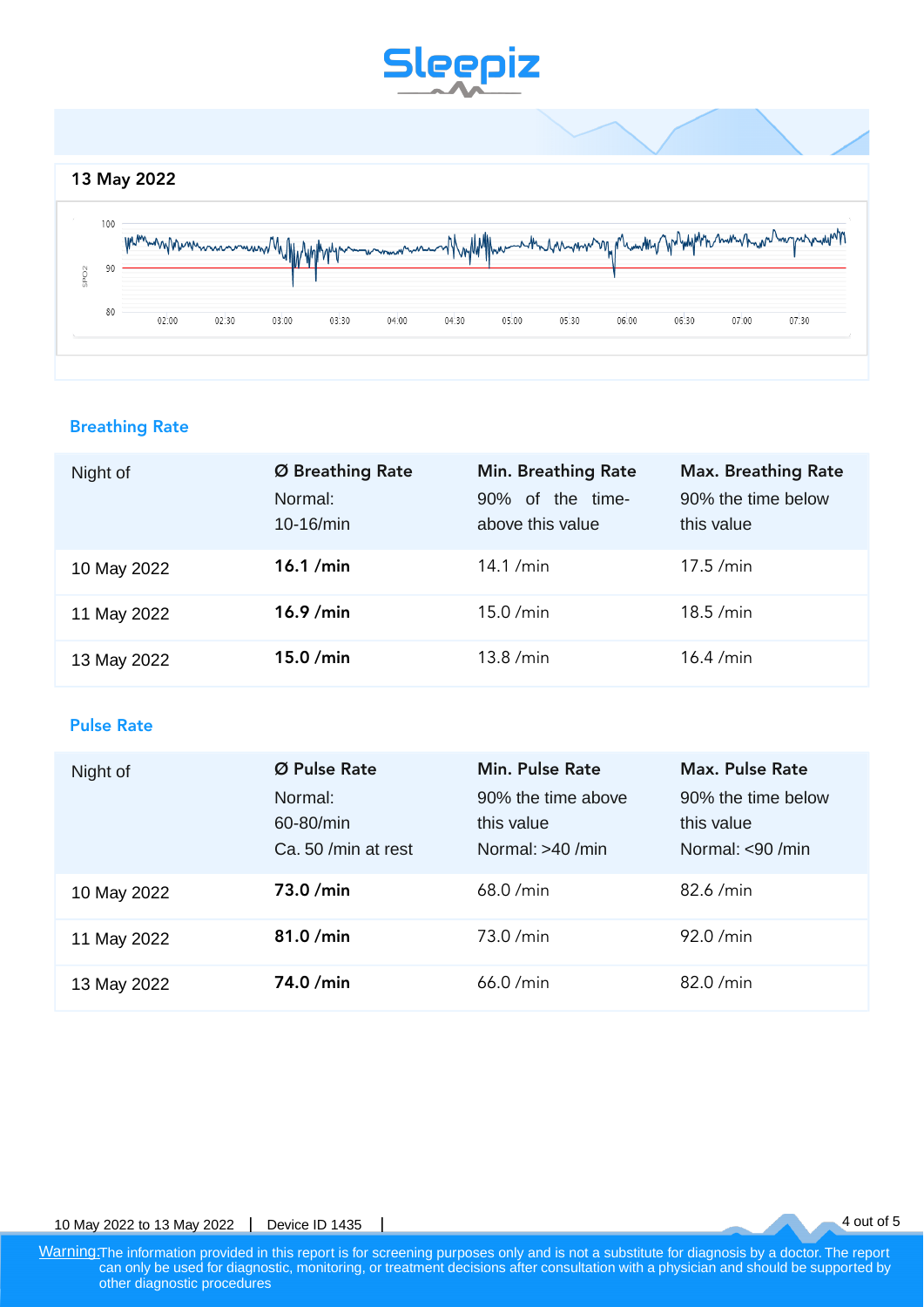

# Breathing Rate

| Night of    | Ø Breathing Rate<br>Normal:<br>$10-16$ /min | <b>Min. Breathing Rate</b><br>of the time-<br>$90\%$<br>above this value | <b>Max. Breathing Rate</b><br>90% the time below<br>this value |
|-------------|---------------------------------------------|--------------------------------------------------------------------------|----------------------------------------------------------------|
| 10 May 2022 | $16.1$ /min                                 | 14.1 / $min$                                                             | 17.5 / min                                                     |
| 11 May 2022 | $16.9$ /min                                 | $15.0$ /min                                                              | 18.5 / min                                                     |
| 13 May 2022 | $15.0$ /min                                 | 13.8 / min                                                               | $16.4$ /min                                                    |

# Pulse Rate

| Night of    | Ø Pulse Rate         | <b>Min. Pulse Rate</b>           | <b>Max. Pulse Rate</b>           |
|-------------|----------------------|----------------------------------|----------------------------------|
|             | Normal:<br>60-80/min | 90% the time above<br>this value | 90% the time below<br>this value |
|             | Ca. 50 /min at rest  | Normal: $>40$ /min               | Normal: $<$ 90 /min              |
| 10 May 2022 | 73.0/min             | 68.0 / min                       | $82.6$ /min                      |
| 11 May 2022 | 81.0/min             | 73.0/min                         | 92.0 / min                       |
| 13 May 2022 | 74.0 /min            | 66.0 / min                       | $82.0$ /min                      |

4 out of 5

10 May 2022 to 13 May 2022 | Device ID 1435

Warning: The information provided in this report is for screening purposes only and is not a substitute for diagnosis by a doctor. The report can only be used for diagnostic, monitoring, or treatment decisions after consultation with a physician and should be supported by other diagnostic procedures